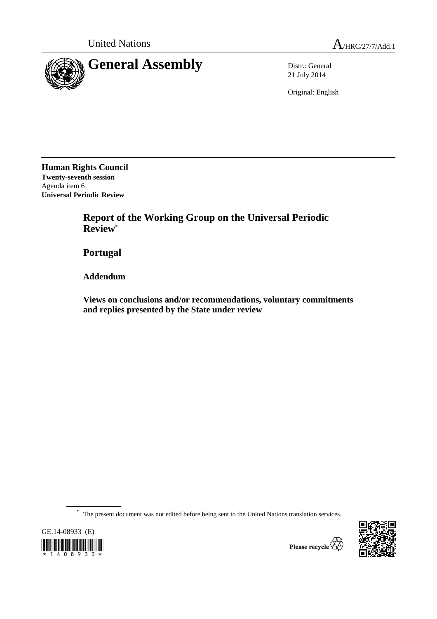

21 July 2014

Original: English

**Human Rights Council Twenty-seventh session**  Agenda item 6 **Universal Periodic Review** 

> **Report of the Working Group on the Universal Periodic Review**\*

 **Portugal** 

 **Addendum** 

 **Views on conclusions and/or recommendations, voluntary commitments and replies presented by the State under review** 

\* The present document was not edited before being sent to the United Nations translation services.





Please recycle  $\overleftrightarrow{C}$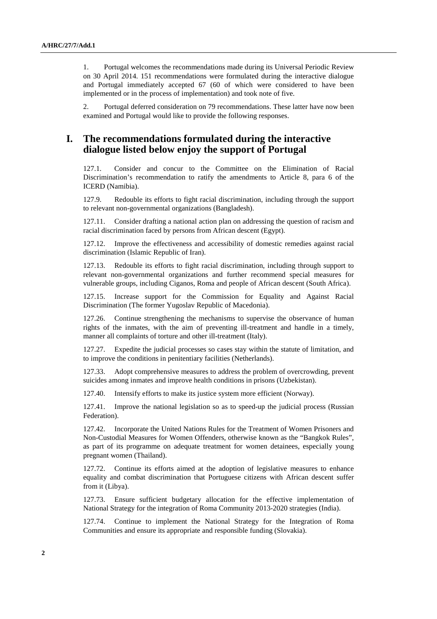1. Portugal welcomes the recommendations made during its Universal Periodic Review on 30 April 2014. 151 recommendations were formulated during the interactive dialogue and Portugal immediately accepted 67 (60 of which were considered to have been implemented or in the process of implementation) and took note of five.

2. Portugal deferred consideration on 79 recommendations. These latter have now been examined and Portugal would like to provide the following responses.

## **I. The recommendations formulated during the interactive dialogue listed below enjoy the support of Portugal**

127.1. Consider and concur to the Committee on the Elimination of Racial Discrimination's recommendation to ratify the amendments to Article 8, para 6 of the ICERD (Namibia).

127.9. Redouble its efforts to fight racial discrimination, including through the support to relevant non-governmental organizations (Bangladesh).

127.11. Consider drafting a national action plan on addressing the question of racism and racial discrimination faced by persons from African descent (Egypt).

127.12. Improve the effectiveness and accessibility of domestic remedies against racial discrimination (Islamic Republic of Iran).

127.13. Redouble its efforts to fight racial discrimination, including through support to relevant non-governmental organizations and further recommend special measures for vulnerable groups, including Ciganos, Roma and people of African descent (South Africa).

127.15. Increase support for the Commission for Equality and Against Racial Discrimination (The former Yugoslav Republic of Macedonia).

127.26. Continue strengthening the mechanisms to supervise the observance of human rights of the inmates, with the aim of preventing ill-treatment and handle in a timely, manner all complaints of torture and other ill-treatment (Italy).

127.27. Expedite the judicial processes so cases stay within the statute of limitation, and to improve the conditions in penitentiary facilities (Netherlands).

127.33. Adopt comprehensive measures to address the problem of overcrowding, prevent suicides among inmates and improve health conditions in prisons (Uzbekistan).

127.40. Intensify efforts to make its justice system more efficient (Norway).

127.41. Improve the national legislation so as to speed-up the judicial process (Russian Federation).

127.42. Incorporate the United Nations Rules for the Treatment of Women Prisoners and Non-Custodial Measures for Women Offenders, otherwise known as the "Bangkok Rules", as part of its programme on adequate treatment for women detainees, especially young pregnant women (Thailand).

127.72. Continue its efforts aimed at the adoption of legislative measures to enhance equality and combat discrimination that Portuguese citizens with African descent suffer from it (Libya).

127.73. Ensure sufficient budgetary allocation for the effective implementation of National Strategy for the integration of Roma Community 2013-2020 strategies (India).

127.74. Continue to implement the National Strategy for the Integration of Roma Communities and ensure its appropriate and responsible funding (Slovakia).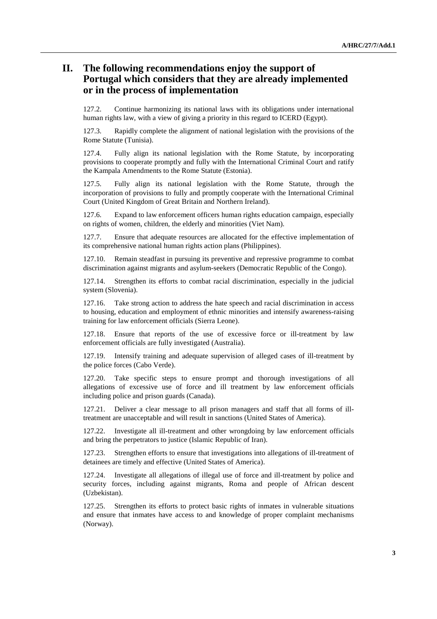## **II. The following recommendations enjoy the support of Portugal which considers that they are already implemented or in the process of implementation**

127.2. Continue harmonizing its national laws with its obligations under international human rights law, with a view of giving a priority in this regard to ICERD (Egypt).

127.3. Rapidly complete the alignment of national legislation with the provisions of the Rome Statute (Tunisia).

127.4. Fully align its national legislation with the Rome Statute, by incorporating provisions to cooperate promptly and fully with the International Criminal Court and ratify the Kampala Amendments to the Rome Statute (Estonia).

127.5. Fully align its national legislation with the Rome Statute, through the incorporation of provisions to fully and promptly cooperate with the International Criminal Court (United Kingdom of Great Britain and Northern Ireland).

127.6. Expand to law enforcement officers human rights education campaign, especially on rights of women, children, the elderly and minorities (Viet Nam).

127.7. Ensure that adequate resources are allocated for the effective implementation of its comprehensive national human rights action plans (Philippines).

127.10. Remain steadfast in pursuing its preventive and repressive programme to combat discrimination against migrants and asylum-seekers (Democratic Republic of the Congo).

127.14. Strengthen its efforts to combat racial discrimination, especially in the judicial system (Slovenia).

127.16. Take strong action to address the hate speech and racial discrimination in access to housing, education and employment of ethnic minorities and intensify awareness-raising training for law enforcement officials (Sierra Leone).

127.18. Ensure that reports of the use of excessive force or ill-treatment by law enforcement officials are fully investigated (Australia).

127.19. Intensify training and adequate supervision of alleged cases of ill-treatment by the police forces (Cabo Verde).

127.20. Take specific steps to ensure prompt and thorough investigations of all allegations of excessive use of force and ill treatment by law enforcement officials including police and prison guards (Canada).

127.21. Deliver a clear message to all prison managers and staff that all forms of illtreatment are unacceptable and will result in sanctions (United States of America).

127.22. Investigate all ill-treatment and other wrongdoing by law enforcement officials and bring the perpetrators to justice (Islamic Republic of Iran).

127.23. Strengthen efforts to ensure that investigations into allegations of ill-treatment of detainees are timely and effective (United States of America).

127.24. Investigate all allegations of illegal use of force and ill-treatment by police and security forces, including against migrants, Roma and people of African descent (Uzbekistan).

127.25. Strengthen its efforts to protect basic rights of inmates in vulnerable situations and ensure that inmates have access to and knowledge of proper complaint mechanisms (Norway).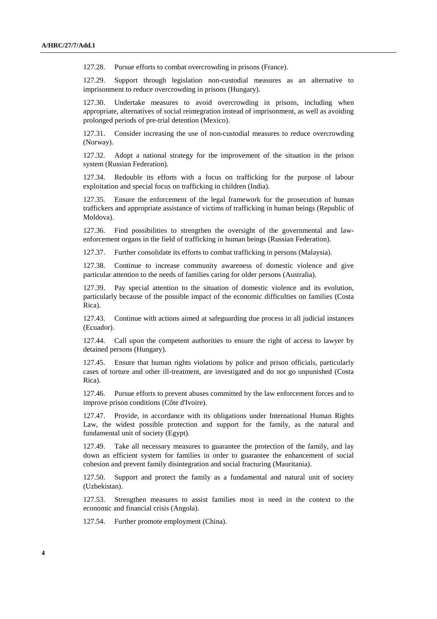127.28. Pursue efforts to combat overcrowding in prisons (France).

127.29. Support through legislation non-custodial measures as an alternative to imprisonment to reduce overcrowding in prisons (Hungary).

127.30. Undertake measures to avoid overcrowding in prisons, including when appropriate, alternatives of social reintegration instead of imprisonment, as well as avoiding prolonged periods of pre-trial detention (Mexico).

127.31. Consider increasing the use of non-custodial measures to reduce overcrowding (Norway).

127.32. Adopt a national strategy for the improvement of the situation in the prison system (Russian Federation).

127.34. Redouble its efforts with a focus on trafficking for the purpose of labour exploitation and special focus on trafficking in children (India).

127.35. Ensure the enforcement of the legal framework for the prosecution of human traffickers and appropriate assistance of victims of trafficking in human beings (Republic of Moldova).

127.36. Find possibilities to strengthen the oversight of the governmental and lawenforcement organs in the field of trafficking in human beings (Russian Federation).

127.37. Further consolidate its efforts to combat trafficking in persons (Malaysia).

127.38. Continue to increase community awareness of domestic violence and give particular attention to the needs of families caring for older persons (Australia).

127.39. Pay special attention to the situation of domestic violence and its evolution, particularly because of the possible impact of the economic difficulties on families (Costa Rica).

127.43. Continue with actions aimed at safeguarding due process in all judicial instances (Ecuador).

127.44. Call upon the competent authorities to ensure the right of access to lawyer by detained persons (Hungary).

127.45. Ensure that human rights violations by police and prison officials, particularly cases of torture and other ill-treatment, are investigated and do not go unpunished (Costa Rica).

127.46. Pursue efforts to prevent abuses committed by the law enforcement forces and to improve prison conditions (Côte d'Ivoire).

127.47. Provide, in accordance with its obligations under International Human Rights Law, the widest possible protection and support for the family, as the natural and fundamental unit of society (Egypt).

127.49. Take all necessary measures to guarantee the protection of the family, and lay down an efficient system for families in order to guarantee the enhancement of social cohesion and prevent family disintegration and social fracturing (Mauritania).

127.50. Support and protect the family as a fundamental and natural unit of society (Uzbekistan).

127.53. Strengthen measures to assist families most in need in the context to the economic and financial crisis (Angola).

127.54. Further promote employment (China).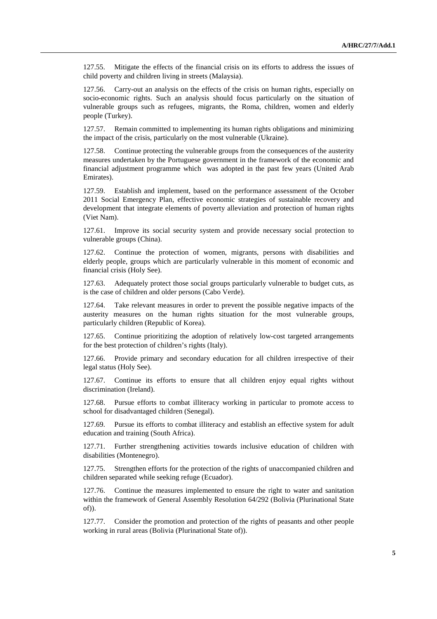127.55. Mitigate the effects of the financial crisis on its efforts to address the issues of child poverty and children living in streets (Malaysia).

127.56. Carry-out an analysis on the effects of the crisis on human rights, especially on socio-economic rights. Such an analysis should focus particularly on the situation of vulnerable groups such as refugees, migrants, the Roma, children, women and elderly people (Turkey).

127.57. Remain committed to implementing its human rights obligations and minimizing the impact of the crisis, particularly on the most vulnerable (Ukraine).

127.58. Continue protecting the vulnerable groups from the consequences of the austerity measures undertaken by the Portuguese government in the framework of the economic and financial adjustment programme which was adopted in the past few years (United Arab Emirates).

127.59. Establish and implement, based on the performance assessment of the October 2011 Social Emergency Plan, effective economic strategies of sustainable recovery and development that integrate elements of poverty alleviation and protection of human rights (Viet Nam).

127.61. Improve its social security system and provide necessary social protection to vulnerable groups (China).

127.62. Continue the protection of women, migrants, persons with disabilities and elderly people, groups which are particularly vulnerable in this moment of economic and financial crisis (Holy See).

127.63. Adequately protect those social groups particularly vulnerable to budget cuts, as is the case of children and older persons (Cabo Verde).

127.64. Take relevant measures in order to prevent the possible negative impacts of the austerity measures on the human rights situation for the most vulnerable groups, particularly children (Republic of Korea).

127.65. Continue prioritizing the adoption of relatively low-cost targeted arrangements for the best protection of children's rights (Italy).

127.66. Provide primary and secondary education for all children irrespective of their legal status (Holy See).

127.67. Continue its efforts to ensure that all children enjoy equal rights without discrimination (Ireland).

127.68. Pursue efforts to combat illiteracy working in particular to promote access to school for disadvantaged children (Senegal).

127.69. Pursue its efforts to combat illiteracy and establish an effective system for adult education and training (South Africa).

127.71. Further strengthening activities towards inclusive education of children with disabilities (Montenegro).

127.75. Strengthen efforts for the protection of the rights of unaccompanied children and children separated while seeking refuge (Ecuador).

127.76. Continue the measures implemented to ensure the right to water and sanitation within the framework of General Assembly Resolution 64/292 (Bolivia (Plurinational State of)).

127.77. Consider the promotion and protection of the rights of peasants and other people working in rural areas (Bolivia (Plurinational State of)).